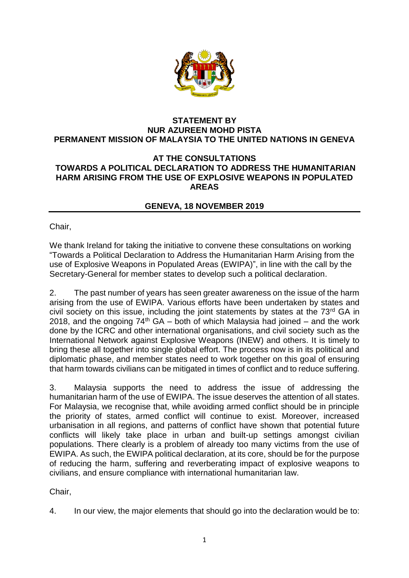

## **STATEMENT BY NUR AZUREEN MOHD PISTA PERMANENT MISSION OF MALAYSIA TO THE UNITED NATIONS IN GENEVA**

## **AT THE CONSULTATIONS TOWARDS A POLITICAL DECLARATION TO ADDRESS THE HUMANITARIAN HARM ARISING FROM THE USE OF EXPLOSIVE WEAPONS IN POPULATED AREAS**

## **GENEVA, 18 NOVEMBER 2019**

Chair,

We thank Ireland for taking the initiative to convene these consultations on working "Towards a Political Declaration to Address the Humanitarian Harm Arising from the use of Explosive Weapons in Populated Areas (EWIPA)", in line with the call by the Secretary-General for member states to develop such a political declaration.

2. The past number of years has seen greater awareness on the issue of the harm arising from the use of EWIPA. Various efforts have been undertaken by states and civil society on this issue, including the joint statements by states at the  $73<sup>rd</sup>$  GA in 2018, and the ongoing  $74<sup>th</sup>$  GA – both of which Malaysia had joined – and the work done by the ICRC and other international organisations, and civil society such as the International Network against Explosive Weapons (INEW) and others. It is timely to bring these all together into single global effort. The process now is in its political and diplomatic phase, and member states need to work together on this goal of ensuring that harm towards civilians can be mitigated in times of conflict and to reduce suffering.

3. Malaysia supports the need to address the issue of addressing the humanitarian harm of the use of EWIPA. The issue deserves the attention of all states. For Malaysia, we recognise that, while avoiding armed conflict should be in principle the priority of states, armed conflict will continue to exist. Moreover, increased urbanisation in all regions, and patterns of conflict have shown that potential future conflicts will likely take place in urban and built-up settings amongst civilian populations. There clearly is a problem of already too many victims from the use of EWIPA. As such, the EWIPA political declaration, at its core, should be for the purpose of reducing the harm, suffering and reverberating impact of explosive weapons to civilians, and ensure compliance with international humanitarian law.

Chair,

4. In our view, the major elements that should go into the declaration would be to: